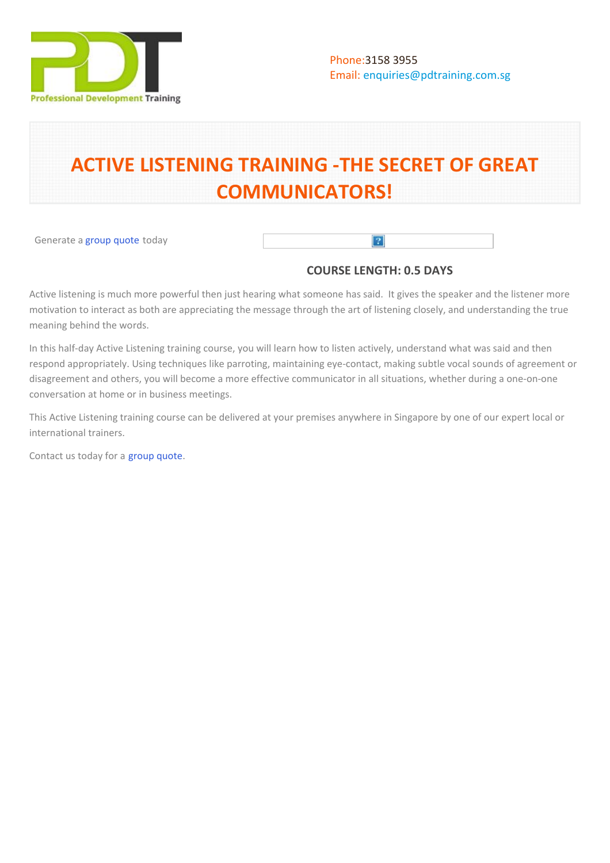

# **ACTIVE LISTENING TRAINING -THE SECRET OF GREAT COMMUNICATORS!**

Generate a [group quote](https://pdtraining.com.sg/bookings/inhouseex1/quoterequestex1a.aspx?cse=PDT0001) today

## **COURSE LENGTH: 0.5 DAYS**

 $\vert$ ?

Active listening is much more powerful then just hearing what someone has said. It gives the speaker and the listener more motivation to interact as both are appreciating the message through the art of listening closely, and understanding the true meaning behind the words.

In this half-day Active Listening training course, you will learn how to listen actively, understand what was said and then respond appropriately. Using techniques like parroting, maintaining eye-contact, making subtle vocal sounds of agreement or disagreement and others, you will become a more effective communicator in all situations, whether during a one-on-one conversation at home or in business meetings.

This Active Listening training course can be delivered at your premises anywhere in Singapore by one of our expert local or international trainers.

Contact us today for a [group quote.](https://pdtraining.com.sg/bookings/inhouseex1/quoterequestex1a.aspx)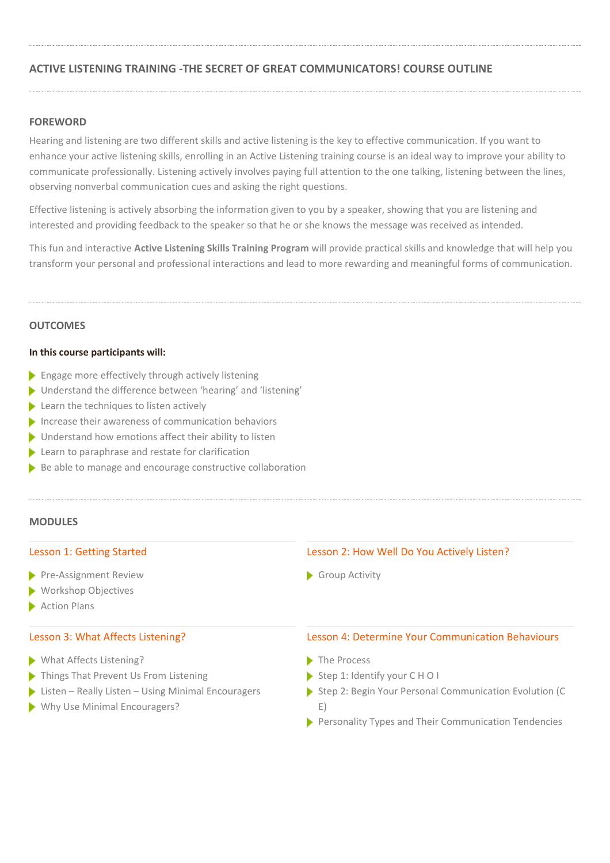## **ACTIVE LISTENING TRAINING -THE SECRET OF GREAT COMMUNICATORS! COURSE OUTLINE**

## **FOREWORD**

Hearing and listening are two different skills and active listening is the key to effective communication. If you want to enhance your active listening skills, enrolling in an Active Listening training course is an ideal way to improve your ability to communicate professionally. Listening actively involves paying full attention to the one talking, listening between the lines, observing nonverbal communication cues and asking the right questions.

Effective listening is actively absorbing the information given to you by a speaker, showing that you are listening and interested and providing feedback to the speaker so that he or she knows the message was received as intended.

This fun and interactive **Active Listening Skills Training Program** will provide practical skills and knowledge that will help you transform your personal and professional interactions and lead to more rewarding and meaningful forms of communication.

## **OUTCOMES**

## **In this course participants will:**

- **Engage more effectively through actively listening**
- Understand the difference between 'hearing' and 'listening'
- **Learn the techniques to listen actively**
- Increase their awareness of communication behaviors
- **Inderstand how emotions affect their ability to listen**
- Learn to paraphrase and restate for clarification
- $\blacktriangleright$  Be able to manage and encourage constructive collaboration

## **MODULES**

#### Lesson 1: Getting Started

- Pre-Assignment Review
- **Workshop Objectives**
- Action Plans

## Lesson 3: What Affects Listening?

- What Affects Listening?
- Things That Prevent Us From Listening
- $\blacktriangleright$  Listen Really Listen Using Minimal Encouragers
- ▶ Why Use Minimal Encouragers? E)

#### Lesson 2: How Well Do You Actively Listen?

Group Activity

## Lesson 4: Determine Your Communication Behaviours

- The Process
- Step 1: Identify your CHOI
- Step 2: Begin Your Personal Communication Evolution (C E)
- Personality Types and Their Communication Tendencies